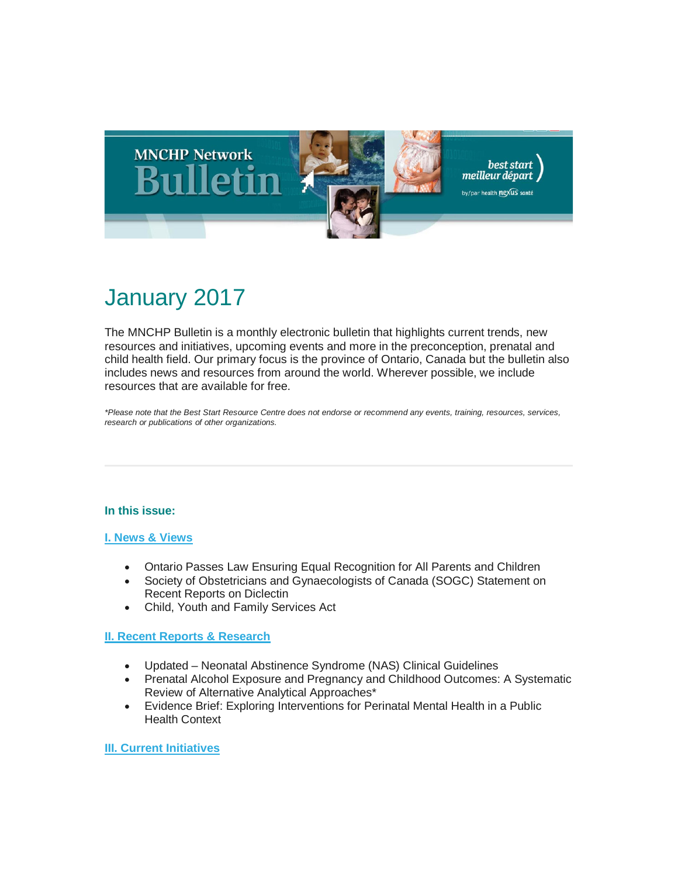

# January 2017

The MNCHP Bulletin is a monthly electronic bulletin that highlights current trends, new resources and initiatives, upcoming events and more in the preconception, prenatal and child health field. Our primary focus is the province of Ontario, Canada but the bulletin also includes news and resources from around the world. Wherever possible, we include resources that are available for free.

*\*Please note that the Best Start Resource Centre does not endorse or recommend any events, training, resources, services, research or publications of other organizations.*

#### **In this issue:**

#### **[I. News & Views](#page-1-0)**

- Ontario Passes Law Ensuring Equal Recognition for All Parents and Children
- Society of Obstetricians and Gynaecologists of Canada (SOGC) Statement on Recent Reports on Diclectin
- Child, Youth and Family Services Act

#### **[II. Recent Reports & Research](#page-2-0)**

- Updated Neonatal Abstinence Syndrome (NAS) Clinical Guidelines
- Prenatal Alcohol Exposure and Pregnancy and Childhood Outcomes: A Systematic Review of Alternative Analytical Approaches\*
- Evidence Brief: Exploring Interventions for Perinatal Mental Health in a Public Health Context

#### **[III. Current Initiatives](#page-4-0)**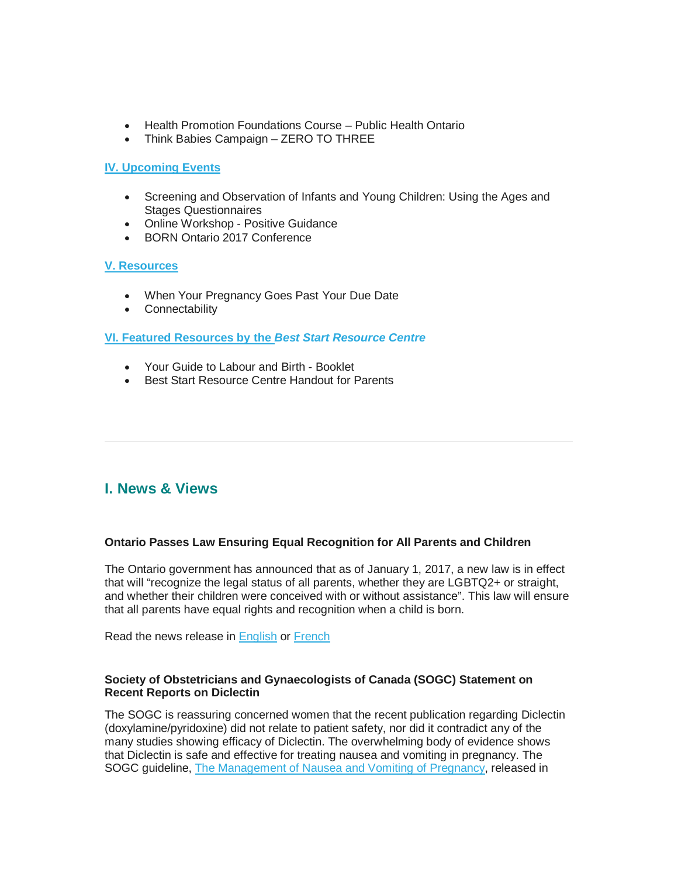- Health Promotion Foundations Course Public Health Ontario
- Think Babies Campaign ZERO TO THREE

#### **[IV. Upcoming Events](#page-4-1)**

- Screening and Observation of Infants and Young Children: Using the Ages and Stages Questionnaires
- Online Workshop Positive Guidance
- BORN Ontario 2017 Conference

#### **[V. Resources](#page-5-0)**

- When Your Pregnancy Goes Past Your Due Date
- Connectability

#### **[VI. Featured Resources by the](#page-6-0)** *Best Start Resource Centre*

- Your Guide to Labour and Birth Booklet
- Best Start Resource Centre Handout for Parents

## <span id="page-1-0"></span>**I. News & Views**

#### **Ontario Passes Law Ensuring Equal Recognition for All Parents and Children**

The Ontario government has announced that as of January 1, 2017, a new law is in effect that will "recognize the legal status of all parents, whether they are LGBTQ2+ or straight, and whether their children were conceived with or without assistance". This law will ensure that all parents have equal rights and recognition when a child is born.

Read the news release in [English](https://news.ontario.ca/mag/en/2016/11/ontario-passes-law-ensuring-equal-rights-for-all-parents-and-children.html?utm_source=ondemand&utm_medium=email&utm_campaign=p%20) or [French](https://news.ontario.ca/mag/fr/2016/11/lontario-adopte-une-loi-qui-assure-des-droits-egaux-a-tous-les-parents-et-enfants.html)

#### **Society of Obstetricians and Gynaecologists of Canada (SOGC) Statement on Recent Reports on Diclectin**

The SOGC is reassuring concerned women that the recent publication regarding Diclectin (doxylamine/pyridoxine) did not relate to patient safety, nor did it contradict any of the many studies showing efficacy of Diclectin. The overwhelming body of evidence shows that Diclectin is safe and effective for treating nausea and vomiting in pregnancy. The SOGC guideline, [The Management of Nausea and Vomiting of Pregnancy,](http://www.jogc.com/article/S1701-2163%2816%2939464-6/fulltext) released in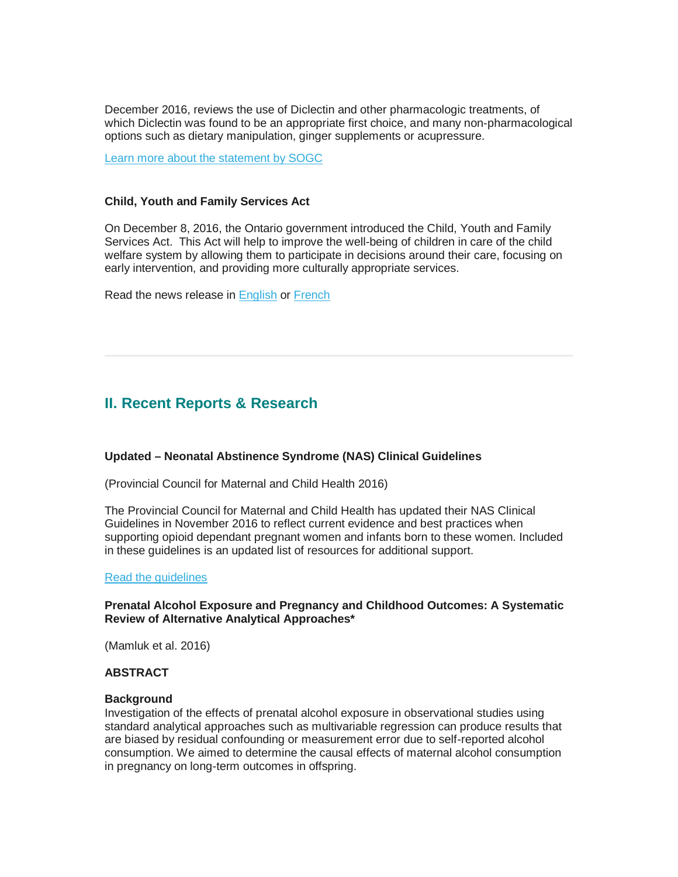December 2016, reviews the use of Diclectin and other pharmacologic treatments, of which Diclectin was found to be an appropriate first choice, and many non-pharmacological options such as dietary manipulation, ginger supplements or acupressure.

[Learn more about the statement by SOGC](https://sogc.org/news-items/index.html?id=157)

#### **Child, Youth and Family Services Act**

On December 8, 2016, the Ontario government introduced the Child, Youth and Family Services Act. This Act will help to improve the well-being of children in care of the child welfare system by allowing them to participate in decisions around their care, focusing on early intervention, and providing more culturally appropriate services.

Read the news release in [English](https://news.ontario.ca/mcys/en/2016/12/ontario-strengthening-child-welfare-improving-outcomes-for-youth.html?utm_source=ondemand&utm_medium=email&utm_campaign=p%20) or [French](https://news.ontario.ca/mcys/fr/2016/12/lontario-renforce-la-protection-des-enfants-afin-dameliorer-les-resultats-pour-la-jeunesse.html)

### <span id="page-2-0"></span>**II. Recent Reports & Research**

#### **Updated – Neonatal Abstinence Syndrome (NAS) Clinical Guidelines**

(Provincial Council for Maternal and Child Health 2016)

The Provincial Council for Maternal and Child Health has updated their NAS Clinical Guidelines in November 2016 to reflect current evidence and best practices when supporting opioid dependant pregnant women and infants born to these women. Included in these guidelines is an updated list of resources for additional support.

#### [Read the guidelines](http://www.pcmch.on.ca/updated-neonatal-abstinence-syndrome-nas-clinical-guideline/)

#### **Prenatal Alcohol Exposure and Pregnancy and Childhood Outcomes: A Systematic Review of Alternative Analytical Approaches\***

(Mamluk et al. 2016)

#### **ABSTRACT**

#### **Background**

Investigation of the effects of prenatal alcohol exposure in observational studies using standard analytical approaches such as multivariable regression can produce results that are biased by residual confounding or measurement error due to self-reported alcohol consumption. We aimed to determine the causal effects of maternal alcohol consumption in pregnancy on long-term outcomes in offspring.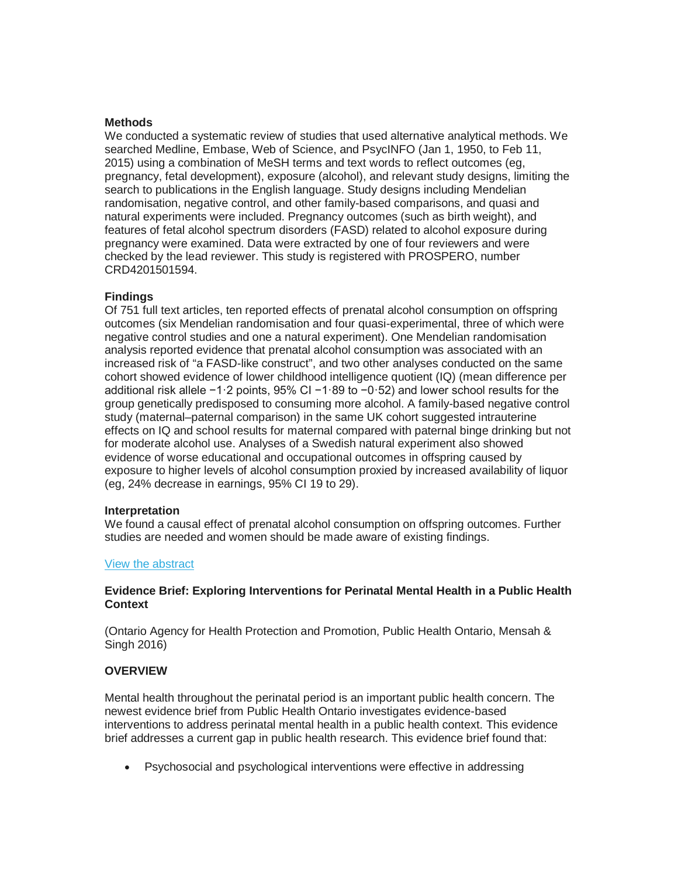#### **Methods**

We conducted a systematic review of studies that used alternative analytical methods. We searched Medline, Embase, Web of Science, and PsycINFO (Jan 1, 1950, to Feb 11, 2015) using a combination of MeSH terms and text words to reflect outcomes (eg, pregnancy, fetal development), exposure (alcohol), and relevant study designs, limiting the search to publications in the English language. Study designs including Mendelian randomisation, negative control, and other family-based comparisons, and quasi and natural experiments were included. Pregnancy outcomes (such as birth weight), and features of fetal alcohol spectrum disorders (FASD) related to alcohol exposure during pregnancy were examined. Data were extracted by one of four reviewers and were checked by the lead reviewer. This study is registered with PROSPERO, number CRD4201501594.

#### **Findings**

Of 751 full text articles, ten reported effects of prenatal alcohol consumption on offspring outcomes (six Mendelian randomisation and four quasi-experimental, three of which were negative control studies and one a natural experiment). One Mendelian randomisation analysis reported evidence that prenatal alcohol consumption was associated with an increased risk of "a FASD-like construct", and two other analyses conducted on the same cohort showed evidence of lower childhood intelligence quotient (IQ) (mean difference per additional risk allele −1·2 points, 95% CI −1·89 to −0·52) and lower school results for the group genetically predisposed to consuming more alcohol. A family-based negative control study (maternal–paternal comparison) in the same UK cohort suggested intrauterine effects on IQ and school results for maternal compared with paternal binge drinking but not for moderate alcohol use. Analyses of a Swedish natural experiment also showed evidence of worse educational and occupational outcomes in offspring caused by exposure to higher levels of alcohol consumption proxied by increased availability of liquor (eg, 24% decrease in earnings, 95% CI 19 to 29).

#### **Interpretation**

We found a causal effect of prenatal alcohol consumption on offspring outcomes. Further studies are needed and women should be made aware of existing findings.

#### [View the abstract](http://thelancet.com/journals/lancet/article/PIIS0140-6736(16)32309-1/fulltext)

#### **Evidence Brief: Exploring Interventions for Perinatal Mental Health in a Public Health Context**

(Ontario Agency for Health Protection and Promotion, Public Health Ontario, Mensah & Singh 2016)

#### **OVERVIEW**

Mental health throughout the perinatal period is an important public health concern. The newest evidence brief from Public Health Ontario investigates evidence-based interventions to address perinatal mental health in a public health context. This evidence brief addresses a current gap in public health research. This evidence brief found that:

• Psychosocial and psychological interventions were effective in addressing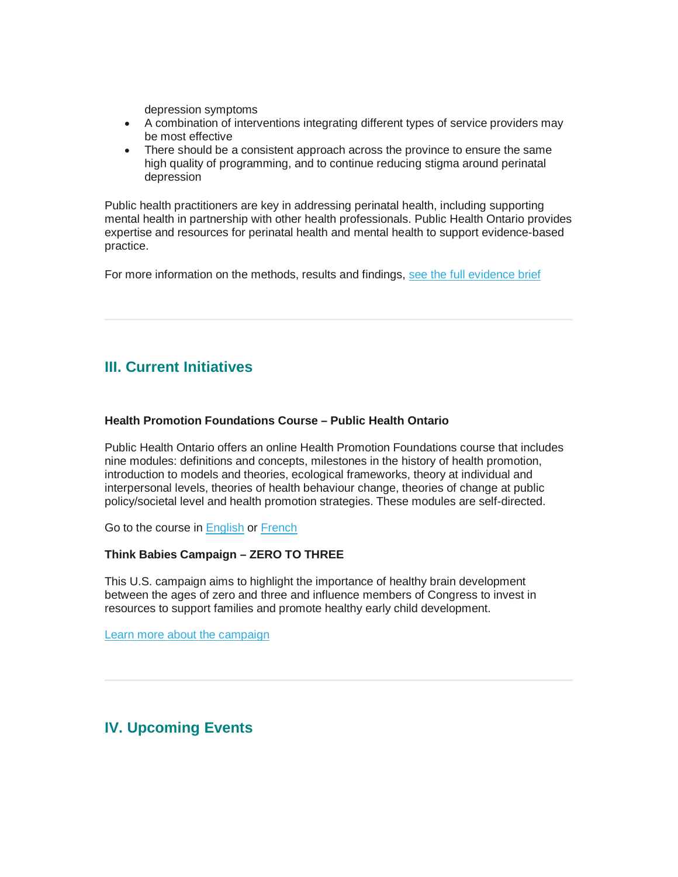depression symptoms

- A combination of interventions integrating different types of service providers may be most effective
- There should be a consistent approach across the province to ensure the same high quality of programming, and to continue reducing stigma around perinatal depression

Public health practitioners are key in addressing perinatal health, including supporting mental health in partnership with other health professionals. Public Health Ontario provides expertise and resources for perinatal health and mental health to support evidence-based practice.

For more information on the methods, results and findings, [see the full evidence brief](http://www.publichealthontario.ca/en/eRepository/Evidence_Brief_Perinatal_Mental_Health_2017.pdf?_cldee=dy5tY2FsbGlzdGVyQGhlYWx0aG5leHVzLmNh&recipientid=contact-33180dd2e49de51181790050569e0009-d4151ee3c3304be0b539fb0b9af14aa0&esid=4c2300dc-23d4-e611-b63a-)

# <span id="page-4-0"></span>**III. Current Initiatives**

#### **Health Promotion Foundations Course – Public Health Ontario**

Public Health Ontario offers an online Health Promotion Foundations course that includes nine modules: definitions and concepts, milestones in the history of health promotion, introduction to models and theories, ecological frameworks, theory at individual and interpersonal levels, theories of health behaviour change, theories of change at public policy/societal level and health promotion strategies. These modules are self-directed.

Go to the course in [English](https://www.publichealthontario.ca/en/LearningAndDevelopment/OnlineLearning/HealthPromotion/Pages/HP-Foundations.aspx) or [French](https://www.publichealthontario.ca/fr/LearningAndDevelopment/OnlineLearning/HealthPromotion/Pages/HP-Foundations.aspx)

#### **Think Babies Campaign – ZERO TO THREE**

This U.S. campaign aims to highlight the importance of healthy brain development between the ages of zero and three and influence members of Congress to invest in resources to support families and promote healthy early child development.

[Learn more about the campaign](http://www.thinkbabies.org/)

# <span id="page-4-1"></span>**IV. Upcoming Events**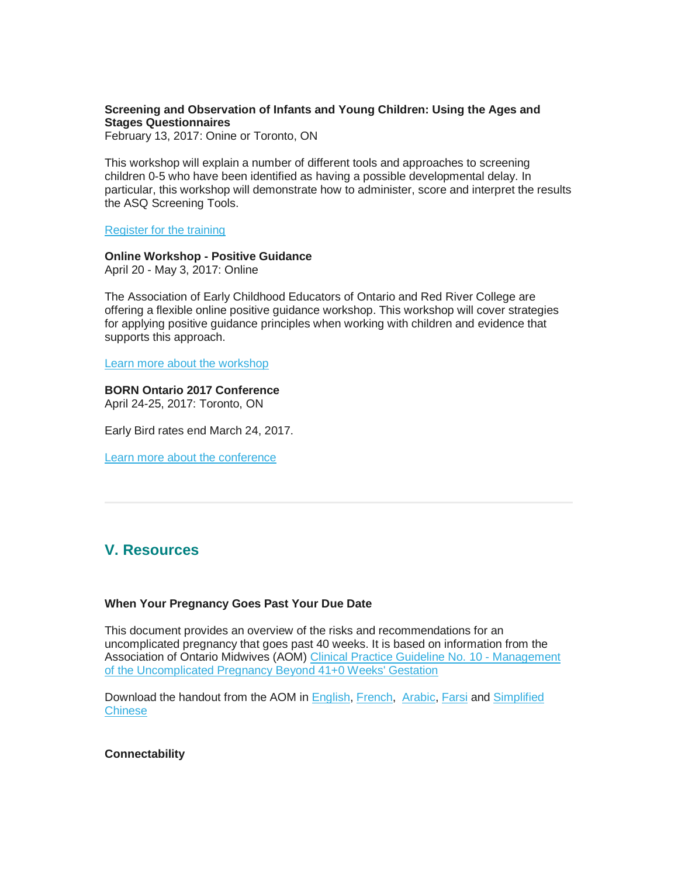#### **Screening and Observation of Infants and Young Children: Using the Ages and Stages Questionnaires**

February 13, 2017: Onine or Toronto, ON

This workshop will explain a number of different tools and approaches to screening children 0-5 who have been identified as having a possible developmental delay. In particular, this workshop will demonstrate how to administer, score and interpret the results the ASQ Screening Tools.

[Register for the training](http://www.imhpromotion.ca/TrainingEvents/IMHPWorkshops.aspx)

#### **Online Workshop - Positive Guidance**

April 20 - May 3, 2017: Online

The Association of Early Childhood Educators of Ontario and Red River College are offering a flexible online positive guidance workshop. This workshop will cover strategies for applying positive guidance principles when working with children and evidence that supports this approach.

[Learn more about the workshop](http://www.aeceo.ca/positive_guidance?utm_campaign=aeceo_pl&utm_medium=email&utm_source=aeceo%20%20)

### **BORN Ontario 2017 Conference**

April 24-25, 2017: Toronto, ON

Early Bird rates end March 24, 2017.

[Learn more about the conference](https://www.bornontario.ca/en/resources/born-conferences/2017-conference/)

### <span id="page-5-0"></span>**V. Resources**

#### **When Your Pregnancy Goes Past Your Due Date**

This document provides an overview of the risks and recommendations for an uncomplicated pregnancy that goes past 40 weeks. It is based on information from the Association of Ontario Midwives (AOM) [Clinical Practice Guideline No. 10 -](http://www.ontariomidwives.ca/images/uploads/guidelines/No10CPGbeyond41.pdf) Management [of the Uncomplicated Pregnancy Beyond 41+0 Weeks' Gestation](http://www.ontariomidwives.ca/images/uploads/guidelines/No10CPGbeyond41.pdf)

Download the handout from the AOM in [English,](http://www.ontariomidwives.ca/images/uploads/client-resources/Postdates-KT-Eng.pdf) [French,](http://www.ontariomidwives.ca/images/uploads/documents/Postdates-KT-French.pdf) [Arabic,](http://www.ontariomidwives.ca/images/uploads/documents/Postdates_Arabic.pdf) [Farsi](http://www.ontariomidwives.ca/images/uploads/documents/Postdates-Farsi-FINAL-may26.pdf) and [Simplified](http://www.ontariomidwives.ca/images/uploads/documents/Postdates-Chinese-Final.pdf)  **[Chinese](http://www.ontariomidwives.ca/images/uploads/documents/Postdates-Chinese-Final.pdf)** 

#### **Connectability**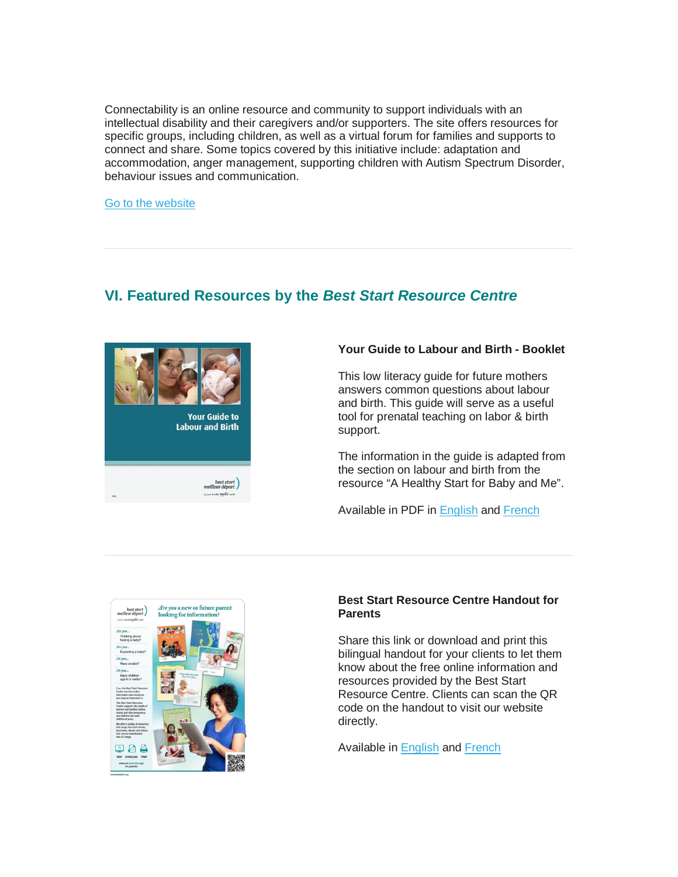Connectability is an online resource and community to support individuals with an intellectual disability and their caregivers and/or supporters. The site offers resources for specific groups, including children, as well as a virtual forum for families and supports to connect and share. Some topics covered by this initiative include: adaptation and accommodation, anger management, supporting children with Autism Spectrum Disorder, behaviour issues and communication.

[Go to the website](http://connectability.ca/category/kids/)

# <span id="page-6-0"></span>**VI. Featured Resources by the** *Best Start Resource Centre*



#### **Your Guide to Labour and Birth - Booklet**

This low literacy guide for future mothers answers common questions about labour and birth. This guide will serve as a useful tool for prenatal teaching on labor & birth support.

The information in the guide is adapted from the section on labour and birth from the resource "A Healthy Start for Baby and Me".

Available in PDF in [English](http://www.beststart.org/resources/rep_health/Your%20Guide%20to%20Labour%20and%20Birth.pdf) and [French](http://www.beststart.org/resources/rep_health/Votre%20guide%20du%20travail%20et%20la%20naissance.pdf) 



#### **Best Start Resource Centre Handout for Parents**

Share this link or download and print this bilingual handout for your clients to let them know about the free online information and resources provided by the Best Start Resource Centre. Clients can scan the QR code on the handout to visit our website directly.

Available in [English](http://en.beststart.org/sites/en.beststart.org/files/images/BSRC_HandoutForParents.pdf) and [French](http://fr.meilleurdepart.org/sites/fr.meilleurdepart.org/files/resources/crmd_feuilletpourparents.pdf)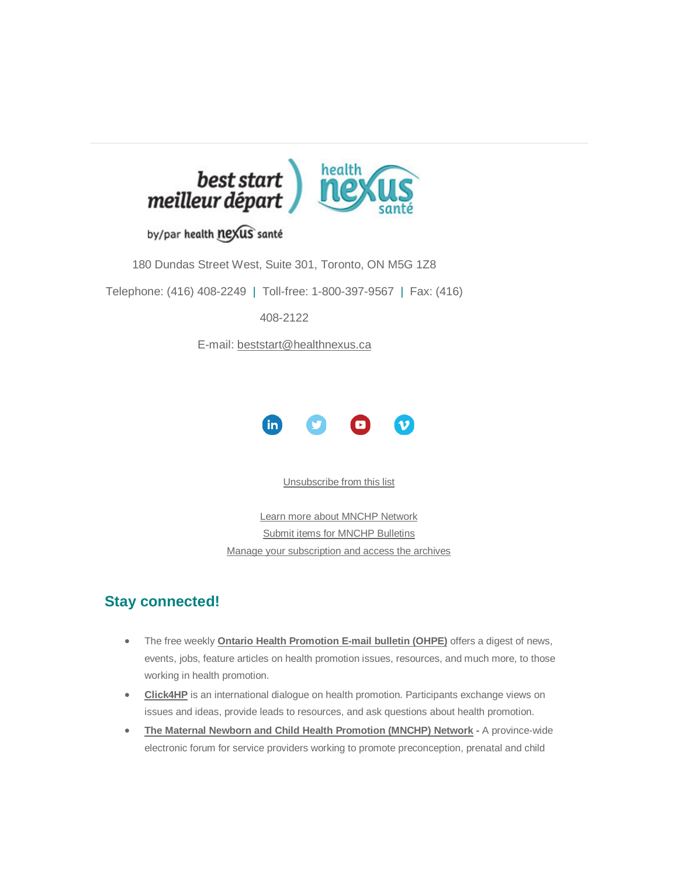

## by/par health nexus santé

180 Dundas Street West, Suite 301, Toronto, ON M5G 1Z8

Telephone: (416) 408-2249 | Toll-free: 1-800-397-9567 | Fax: (416)

408-2122

E-mail: [beststart@healthnexus.ca](mailto:beststart@healthnexus.ca?subject=Contact%20Us)



[Unsubscribe from this list](mailto:mnchp@healthnexus.ca?subject=Unsubscribe)

[Learn more about MNCHP Network](http://lists.beststart.org/listinfo.cgi/mnchp-beststart.org) [Submit items for MNCHP Bulletins](mailto:mnchp@healthnexus.ca) [Manage your subscription and access the archives](http://lists.beststart.org/listinfo.cgi/mnchp-beststart.org)

## **Stay connected!**

- The free weekly **Ontario Health [Promotion E-mail bulletin \(OHPE\)](http://www.ohpe.ca/)** offers a digest of news, events, jobs, feature articles on health promotion issues, resources, and much more, to those working in health promotion.
- **[Click4HP](https://listserv.yorku.ca/archives/click4hp.html)** is an international dialogue on health promotion. Participants exchange views on issues and ideas, provide leads to resources, and ask questions about health promotion.
- **[The Maternal Newborn and Child Health Promotion \(MNCHP\) Network](http://lists.beststart.org/listinfo.cgi/mnchp-beststart.org) -** A province-wide electronic forum for service providers working to promote preconception, prenatal and child